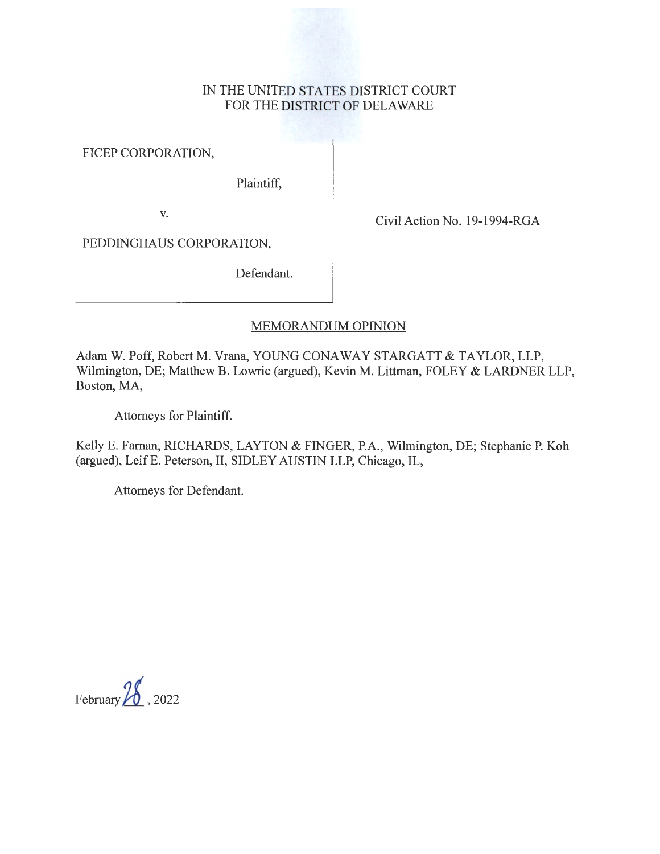# IN THE UNITED STATES DISTRICT COURT FOR THE DISTRICT OF DELAWARE

FICEP CORPORATION,

Plaintiff,

v.<br>Civil Action No. 19-1994-RGA

PEDDINGHAUS CORPORATION,

Defendant.

# MEMORANDUM OPINION

Adam W. Poff, Robert M. Vrana, YOUNG CONAWAY STARGATT & TAYLOR, LLP, Wilmington, DE; Matthew B. Lowrie (argued), Kevin M. Littman, FOLEY & LARDNER LLP, Boston, MA,

Attorneys for Plaintiff.

Kelly E. Farnan, RICHARDS, LAYTON & FINGER, P.A., Wilmington, DE; Stephanie P. Koh (argued), LeifE. Peterson, II, SIDLEY AUSTIN LLP, Chicago, IL,

Attorneys for Defendant.

February *1£.\_ ,* <sup>2022</sup>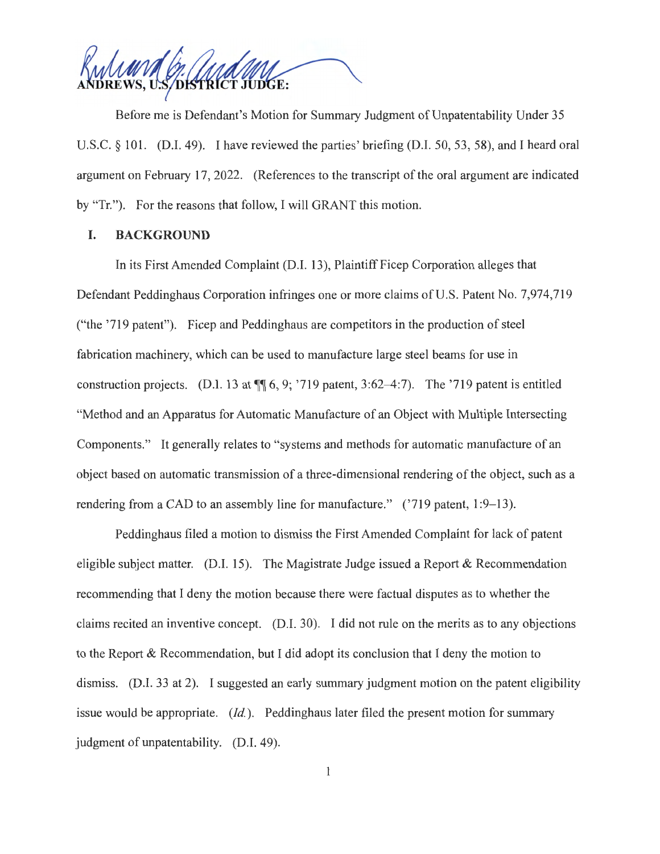DISTRICT JUDGE:

Before me is Defendant's Motion for Summary Judgment of Unpatentability Under 35 U.S.C. § 101. (D.I. 49). I have reviewed the parties' briefing (D.I. 50, 53, 58), and I heard oral argument on February 17, 2022. (References to the transcript of the oral argument are indicated by "Tr."). For the reasons that follow, I will GRANT this motion.

## **I. BACKGROUND**

In its First Amended Complaint (D.I. 13), Plaintiff Ficep Corporation alleges that Defendant Peddinghaus Corporation infringes one or more claims of U.S. Patent No. 7,974,719 ("the '719 patent"). Ficep and Peddinghaus are competitors in the production of steel fabrication machinery, which can be used to manufacture large steel beams for use in construction projects. (D.I. 13 at  $\P$  6, 9; '719 patent, 3:62–4:7). The '719 patent is entitled "Method and an Apparatus for Automatic Manufacture of an Object with Multiple Intersecting Components." It generally relates to "systems and methods for automatic manufacture of an object based on automatic transmission of a three-dimensional rendering of the object, such as a rendering from a CAD to an assembly line for manufacture."  $('719$  patent,  $1:9-13$ ).

Peddinghaus filed a motion to dismiss the First Amended Complaint for lack of patent eligible subject matter. (D.I. 15). The Magistrate Judge issued a Report  $\&$  Recommendation recommending that I deny the motion because there were factual disputes as to whether the claims recited an inventive concept. (D.I. 30). I did not rule on the merits as to any objections to the Report & Recommendation, but I did adopt its conclusion that I deny the motion to dismiss. (D.I. 33 at 2). I suggested an early summary judgment motion on the patent eligibility issue would be appropriate. *(Id.).* Peddinghaus later filed the present motion for summary judgment of unpatentability. (D.I. 49).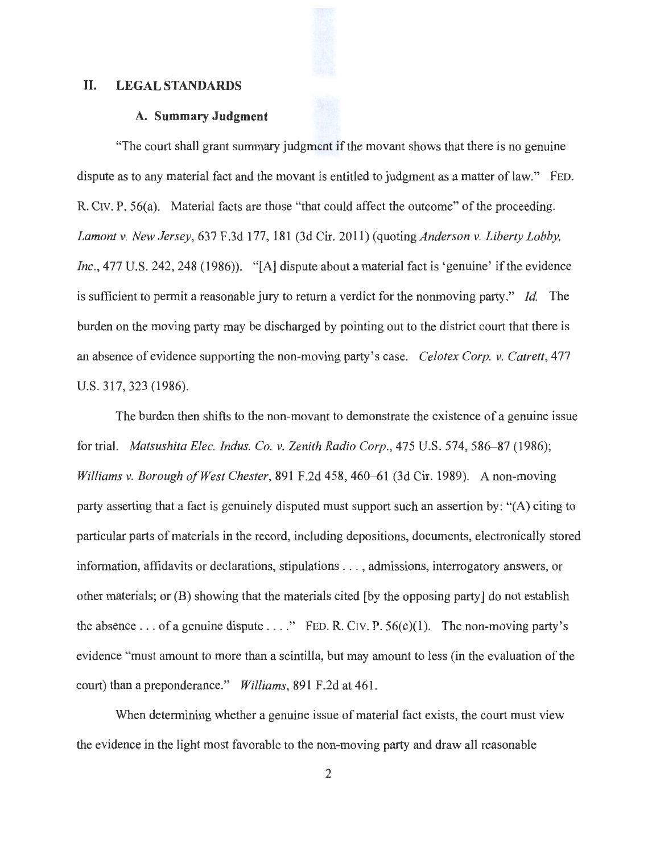## **II. LEGAL STANDARDS**

#### **A. Summary Judgment**

"The court shall grant summary judgment if the movant shows that there is no genuine dispute as to any material fact and the movant is entitled to judgment as a matter of law." FED. R. CIV. P. 56(a). Material facts are those "that could affect the outcome" of the proceeding. *Lamontv. New Jersey,* 637 F.3d 177,181 (3d Cir. 2011) (quoting *Anderson v. Liberty Lobby, Inc.*, 477 U.S. 242, 248 (1986)). "[A] dispute about a material fact is 'genuine' if the evidence is sufficient to permit a reasonable jury to return a verdict for the nonmoving party." *Id.* The burden on the moving party may be discharged by pointing out to the district court that there is an absence of evidence supporting the non-moving party's case. *Celotex Corp. v. Catrett,* 477 U.S. 317,323 (1986).

The burden then shifts to the non-movant to demonstrate the existence of a genuine issue for trial. *Matsushita Elec. Indus. Co. v. Zenith Radio Corp.,* 475 U.S. 574, 586-87 (1986); *Williams v. Borough of West Chester, 891 F.2d 458, 460–61 (3d Cir. 1989). A non-moving* party asserting that a fact is genuinely disputed must support such an assertion by: "(A) citing to particular parts of materials in the record, including depositions, documents, electronically stored information, affidavits or declarations, stipulations . . . , admissions, interrogatory answers, or other materials; or (B) showing that the materials cited (by the opposing party] do not establish the absence ... of a genuine dispute  $\dots$ ." FED. R. CIV. P. 56(c)(1). The non-moving party's evidence "must amount to more than a scintilla, but may amount to less (in the evaluation of the court) than a preponderance." *Williams,* 891 F.2d at 461.

When determining whether a genuine issue of material fact exists, the court must view the evidence in the light most favorable to the non-moving party and draw all reasonable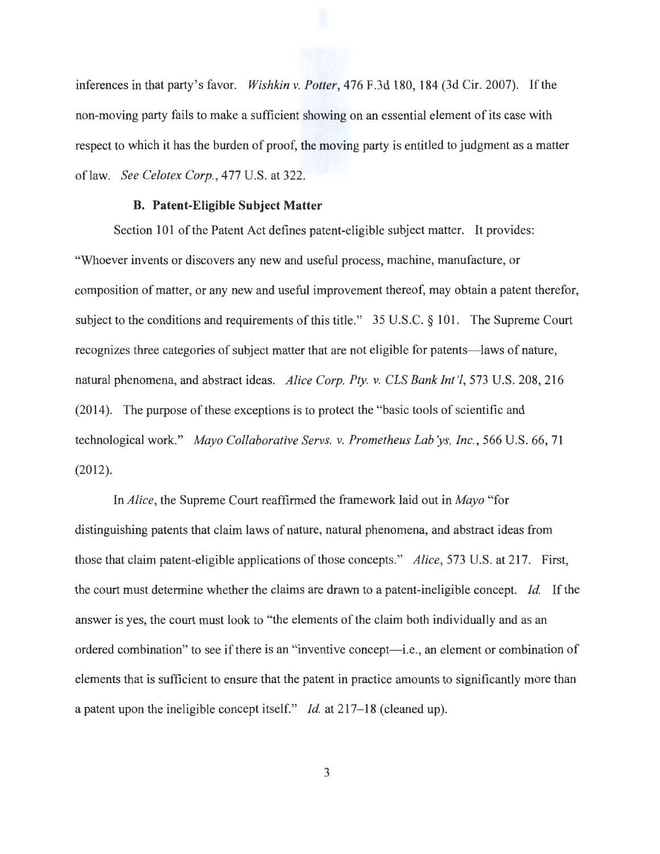inferences in that party's favor. *Wishkin v. Potter,* 476 F.3d 180, 184 (3d Cir. 2007). If the non-moving party fails to make a sufficient showing on an essential element of its case with respect to which it has the burden of proof, the moving party is entitled to judgment as a matter oflaw. *See Celotex Corp.,* 477 U.S. at 322.

#### **B. Patent-Eligible Subject Matter**

Section 101 of the Patent Act defines patent-eligible subject matter. It provides: "Whoever invents or discovers any new and useful process, machine, manufacture, or composition of matter, or any new and useful improvement thereof, may obtain a patent therefor, subject to the conditions and requirements of this title." 35 U.S.C. § 101. The Supreme Court recognizes three categories of subject matter that are not eligible for patents—laws of nature, natural phenomena, and abstract ideas. *Alice Corp. Pty. v. CLS Bank Int '!,* 573 U.S. 208, 216 (2014). The purpose of these exceptions is to protect the "basic tools of scientific and technological work." *Mayo Collaborative Servs. v. Prometheus Lab'ys, Inc.*, 566 U.S. 66, 71 (2012).

In *Alice,* the Supreme Court reaffirmed the framework laid out in *Mayo* "for distinguishing patents that claim laws of nature, natural phenomena, and abstract ideas from those that claim patent-eligible applications of those concepts." *Alice,* 573 U.S. at 217. First, the court must determine whether the claims are drawn to a patent-ineligible concept. *Id.* If the answer is yes, the court must look to "the elements of the claim both individually and as an ordered combination" to see if there is an "inventive concept—i.e., an element or combination of elements that is sufficient to ensure that the patent in practice amounts to significantly more than a patent upon the ineligible concept itself." *Id.* at 217-18 (cleaned up).

3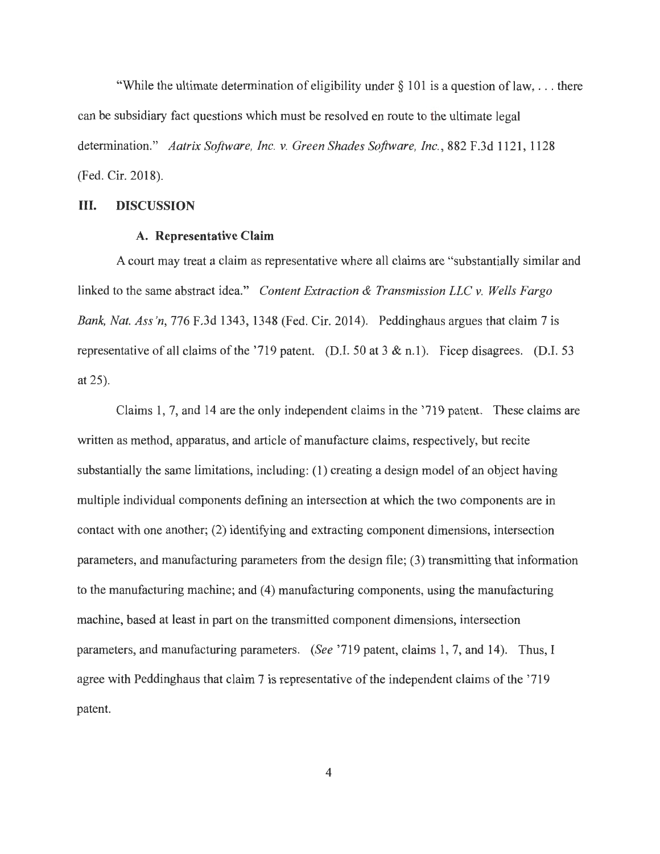"While the ultimate determination of eligibility under  $\S$  101 is a question of law, ... there can be subsidiary fact questions which must be resolved en route to the ultimate legal determination." *Aatrix Software, Inc. v. Green Shades Software, Inc.,* 882 F.3d 1121, 1128 (Fed. Cir. 2018).

#### **III. DISCUSSION**

## **A. Representative Claim**

A court may treat a claim as representative where all claims are "substantially similar and linked to the same abstract idea." *Content Extraction & Transmission LLC v. Wells Fargo Bank, Nat. Ass 'n,* 776 F.3d 1343, 1348 (Fed. Cir. 2014). Peddinghaus argues that claim 7 is representative of all claims of the '719 patent. (D.I. 50 at 3 & n.l). Ficep disagrees. (D.I. 53 at 25).

Claims 1, 7, and 14 are the only independent claims in the '719 patent. These claims are written as method, apparatus, and article of manufacture claims, respectively, but recite substantially the same limitations, including: (1) creating a design model of an object having multiple individual components defining an intersection at which the two components are in contact with one another; (2) identifying and extracting component dimensions, intersection parameters, and manufacturing parameters from the design file; (3) transmitting that information to the manufacturing machine; and (4) manufacturing components, using the manufacturing machine, based at least in part on the transmitted component dimensions, intersection parameters, and manufacturing parameters. *(See* '719 patent, claims 1, 7, and 14). Thus, I agree with Peddinghaus that claim 7 is representative of the independent claims of the '719 patent.

4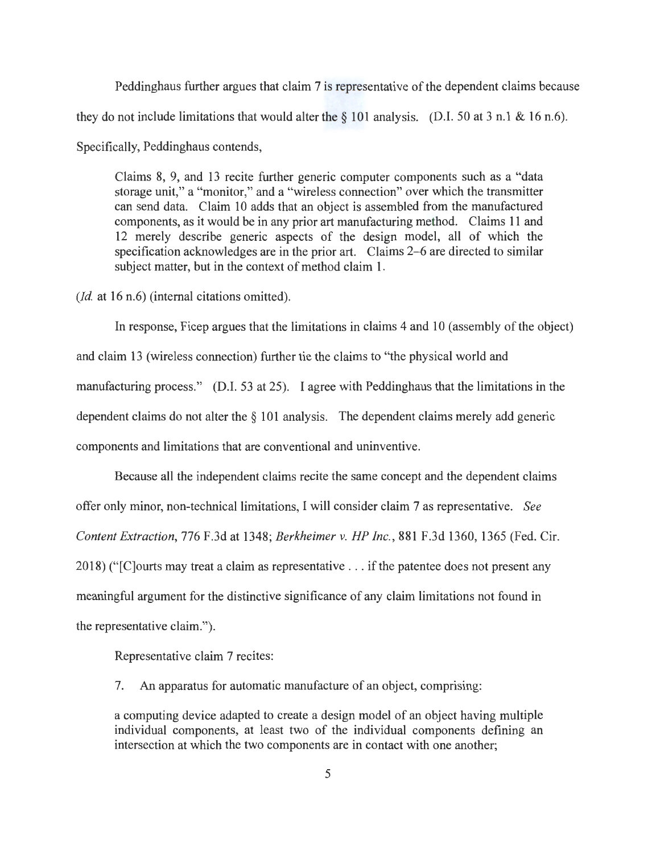Peddinghaus further argues that claim 7 is representative of the dependent claims because they do not include limitations that would alter the  $\S$  101 analysis. (D.I. 50 at 3 n.1 & 16 n.6). Specifically, Peddinghaus contends,

Claims 8, 9, and 13 recite further generic computer components such as a "data storage unit," a "monitor," and a "wireless connection" over which the transmitter can send data. Claim 10 adds that an object is assembled from the manufactured components, as it would be in any prior art manufacturing method. Claims 11 and 12 merely describe generic aspects of the design model, all of which the specification acknowledges are in the prior art. Claims 2-6 are directed to similar subject matter, but in the context of method claim 1.

*(Id.* at 16 n.6) (internal citations omitted).

In response, Ficep argues that the limitations in claims 4 and 10 (assembly of the object) and claim 13 (wireless connection) further tie the claims to "the physical world and manufacturing process." (D.I. 53 at 25). I agree with Peddinghaus that the limitations in the dependent claims do not alter the § 101 analysis. The dependent claims merely add generic components and limitations that are conventional and uninventive.

Because all the independent claims recite the same concept and the dependent claims offer only minor, non-technical limitations, I will consider claim 7 as representative. *See Content Extraction,* 776 F.3d at 1348; *Berkheimer v. HP Inc.,* 881 F.3d 1360, 1365 (Fed. Cir. 2018) ("[C]ourts may treat a claim as representative ... if the patentee does not present any meaningful argument for the distinctive significance of any claim limitations not found in the representative claim.").

Representative claim 7 recites:

7. An apparatus for automatic manufacture of an object, comprising:

a computing device adapted to create a design model of an object having multiple individual components, at least two of the individual components defining an intersection at which the two components are in contact with one another;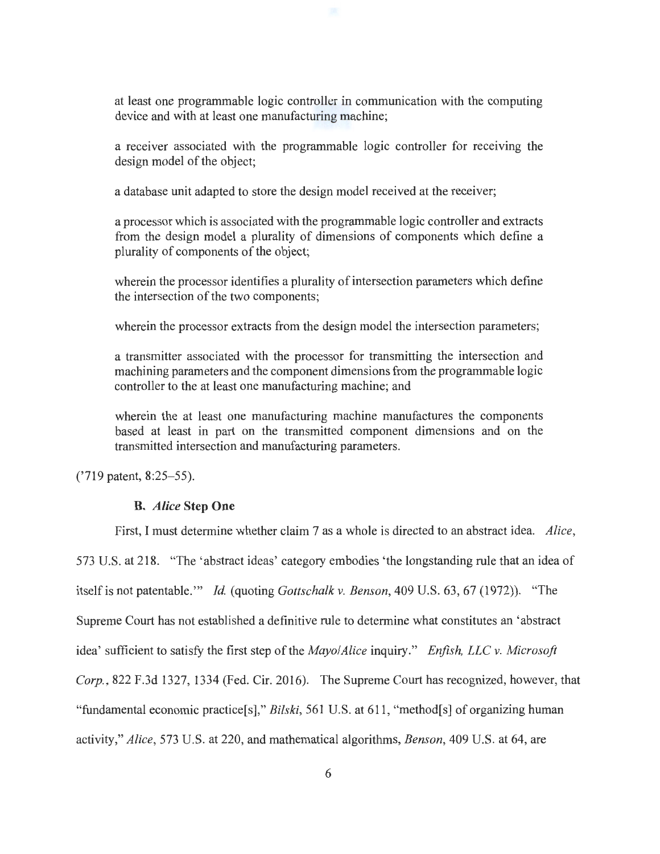at least one programmable logic controller in communication with the computing device and with at least one manufacturing machine;

a receiver associated with the programmable logic controller for receiving the design model of the object;

a database unit adapted to store the design model received at the receiver;

a processor which is associated with the programmable logic controller and extracts from the design model a plurality of dimensions of components which define a plurality of components of the object;

wherein the processor identifies a plurality of intersection parameters which define the intersection of the two components;

wherein the processor extracts from the design model the intersection parameters;

a transmitter associated with the processor for transmitting the intersection and machining parameters and the component dimensions from the programmable logic controller to the at least one manufacturing machine; and

wherein the at least one manufacturing machine manufactures the components based at least in part on the transmitted component dimensions and on the transmitted intersection and manufacturing parameters.

First, I must determine whether claim 7 as a whole is directed to an abstract idea. *Alice,* 

('719 patent, 8:25-55).

### **B.** *Alice* **Step One**

573 U.S. at 218. "The 'abstract ideas' category embodies 'the longstanding rule that an idea of itself is not patentable."' *Id.* (quoting *Gottschalk v. Benson,* 409 U.S. 63, 67 (1972)). "The Supreme Court has not established a definitive rule to determine what constitutes an 'abstract idea' sufficient to satisfy the first step of the *Mayo/Alice* inquiry." *Enfish, LLC v. Microsoft Corp.,* 822 F.3d 1327, 1334 (Fed. Cir. 2016). The Supreme Court has recognized, however, that "fundamental economic practice[s]," *Bilski,* 561 U.S. at 611, "method[s] of organizing human activity," *Alice,* 573 U.S. at 220, and mathematical algorithms, *Benson,* 409 U.S. at 64, are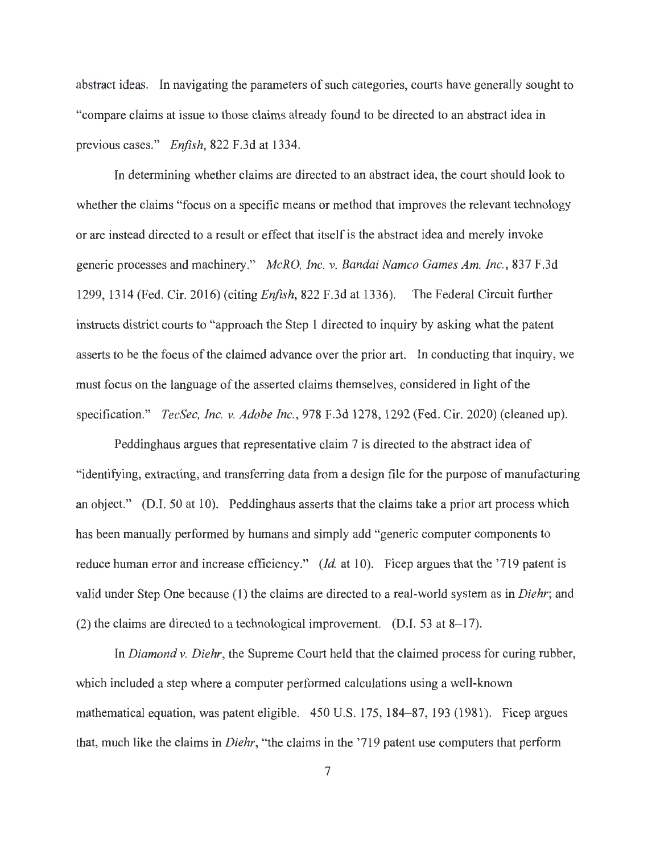abstract ideas. In navigating the parameters of such categories, courts have generally sought to "compare claims at issue to those claims already found to be directed to an abstract idea in previous cases." *Enfish,* 822 F.3d at 1334.

In determining whether claims are directed to an abstract idea, the court should look to whether the claims "focus on a specific means or method that improves the relevant technology or are instead directed to a result or effect that itself is the abstract idea and merely invoke generic processes and machinery." *McRO, Inc. v. Bandai Namco Games Am. Inc. ,* 837 F.3d 1299, 1314 (Fed. Cir. 2016) (citing *Enfish,* 822 F.3d at 1336). The Federal Circuit further instructs district courts to "approach the Step 1 directed to inquiry by asking what the patent asserts to be the focus of the claimed advance over the prior art. In conducting that inquiry, we must focus on the language of the asserted claims themselves, considered in light of the specification." *TecSec, Inc. v. Adobe Inc.,* 978 F.3d 1278, 1292 (Fed. Cir. 2020) (cleaned up).

Peddinghaus argues that representative claim 7 is directed to the abstract idea of "identifying, extracting, and transferring data from a design file for the purpose of manufacturing an object." (D.I. 50 at 10). Peddinghaus asserts that the claims take a prior art process which has been manually performed by humans and simply add "generic computer components to reduce human error and increase efficiency." (*Id.* at 10). Ficep argues that the '719 patent is valid under Step One because (1) the claims are directed to a real-world system as in *Diehr;* and (2) the claims are directed to a technological improvement. (D.I. 53 at 8-17).

In *Diamond v. Diehr,* the Supreme Court held that the claimed process for curing rubber, which included a step where a computer performed calculations using a well-known mathematical equation, was patent eligible. 450 U.S. 175, 184-87, 193 (1981). Ficep argues that, much like the claims in *Diehr,* "the claims in the '719 patent use computers that perform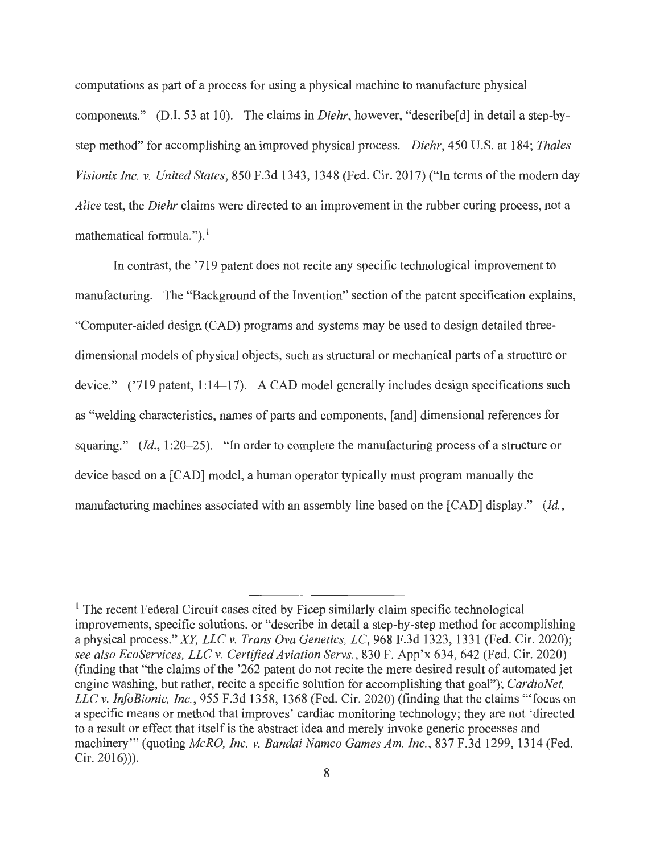computations as part of a process for using a physical machine to manufacture physical components." (D.I. 53 at 10). The claims in *Diehr,* however, "describe[d] in detail a step-bystep method" for accomplishing an improved physical process. *Diehr,* 450 U.S. at 184; *Thales Visionix Inc. v. United States,* 850 F.3d 1343, 1348 (Fed. Cir. 2017) ("In terms of the modem day *Alice* test, the *Diehr* claims were directed to an improvement in the rubber curing process, not a mathematical formula.").<sup>1</sup>

In contrast, the '719 patent does not recite any specific technological improvement to manufacturing. The "Background of the Invention" section of the patent specification explains, "Computer-aided design (CAD) programs and systems may be used to design detailed threedimensional models of physical objects, such as structural or mechanical parts of a structure or device." ('719 patent, 1:14-17). A CAD model generally includes design specifications such as "welding characteristics, names of parts and components, [ and] dimensional references for squaring." *(Id.,* 1:20–25). "In order to complete the manufacturing process of a structure or device based on a [CAD] model, a human operator typically must program manually the manufacturing machines associated with an assembly line based on the [CAD] display." *(Id.,* 

<sup>&</sup>lt;sup>1</sup> The recent Federal Circuit cases cited by Ficep similarly claim specific technological improvements, specific solutions, or "describe in detail a step-by-step method for accomplishing a physical process." *XY, LLC v. Trans Ova Genetics, LC,* 968 F.3d 1323, 1331 (Fed. Cir. 2020); *see also EcoServices, LLC v. Certified Aviation Servs.,* 830 F. App'x 634, 642 (Fed. Cir. 2020) (finding that "the claims of the '262 patent do not recite the mere desired result of automated jet engine washing, but rather, recite a specific solution for accomplishing that goal"); *CardioNet, LLC v. InfoBionic, Inc.,* 955 F.3d 1358, 1368 (Fed. Cir. 2020) (finding that the claims '"focus on a specific means or method that improves' cardiac monitoring technology; they are not 'directed to a result or effect that itself is the abstract idea and merely invoke generic processes and machinery"' (quoting *McRO, Inc. v. Bandai Namco Games Am. Inc.,* 837 F.3d 1299, 1314 (Fed. Cir. 2016))).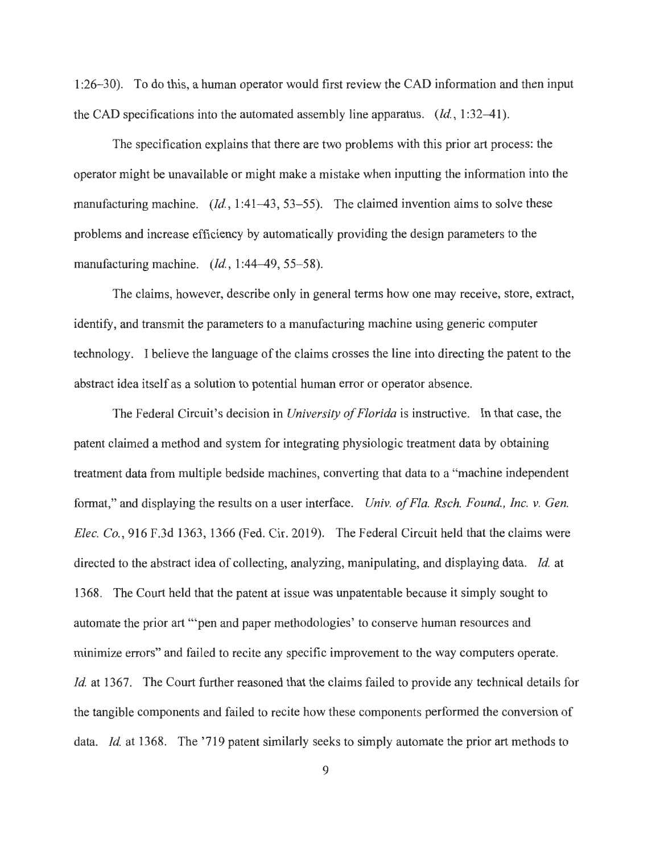1 :26-30). To do this, a human operator would first review the CAD information and then input the CAD specifications into the automated assembly line apparatus.  $(Id, 1:32-41)$ .

The specification explains that there are two problems with this prior art process: the operator might be unavailable or might make a mistake when inputting the information into the manufacturing machine. *(Id.,* 1:41–43, 53–55). The claimed invention aims to solve these problems and increase efficiency by automatically providing the design parameters to the manufacturing machine. *(Id.,* 1:44-49, 55-58).

The claims, however, describe only in general terms how one may receive, store, extract, identify, and transmit the parameters to a manufacturing machine using generic computer technology. I believe the language of the claims crosses the line into directing the patent to the abstract idea itself as a solution to potential human error or operator absence.

The Federal Circuit's decision in *University of Florida* is instructive. In that case, the patent claimed a method and system for integrating physiologic treatment data by obtaining treatment data from multiple bedside machines, converting that data to a "machine independent format," and displaying the results on a user interface. *Univ. of Fla. Rsch. Found. , Inc. v. Gen. Elec. Co.,* 916 F.3d 1363, 1366 (Fed. Cir. 2019). The Federal Circuit held that the claims were directed to the abstract idea of collecting, analyzing, manipulating, and displaying data. *Id.* at 1368. The Court held that the patent at issue was unpatentable because it simply sought to automate the prior art "'pen and paper methodologies' to conserve human resources and minimize errors" and failed to recite any specific improvement to the way computers operate. *Id.* at 1367. The Court further reasoned that the claims failed to provide any technical details for the tangible components and failed to recite how these components performed the conversion of data. *Id.* at 1368. The '719 patent similarly seeks to simply automate the prior art methods to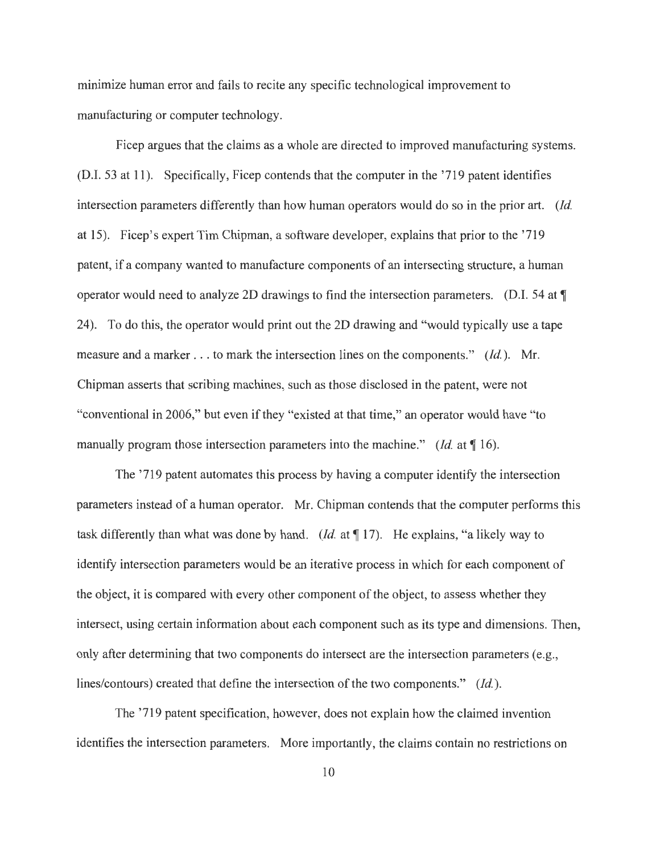minimize human error and fails to recite any specific technological improvement to manufacturing or computer technology.

Ficep argues that the claims as a whole are directed to improved manufacturing systems. (D.I. 53 at 11). Specifically, Ficep contends that the computer in the '719 patent identifies intersection parameters differently than how human operators would do so in the prior art. *(Id.*  at 15). Ficep's expert Tim Chipman, a software developer, explains that prior to the '719 patent, if a company wanted to manufacture components of an intersecting structure, a human operator would need to analyze 2D drawings to find the intersection parameters. (D.I. 54 at  $\P$ 24). To do this, the operator would print out the 2D drawing and "would typically use a tape measure and a marker ... to mark the intersection lines on the components." *(Id.).* Mr. Chipman asserts that scribing machines, such as those disclosed in the patent, were not "conventional in 2006," but even if they "existed at that time," an operator would have "to manually program those intersection parameters into the machine." *(Id.* at 116).

The '719 patent automates this process by having a computer identify the intersection parameters instead of a human operator. Mr. Chipman contends that the computer performs this task differently than what was done by hand. *(Id.* at  $\P$  17). He explains, "a likely way to identify intersection parameters would be an iterative process in which for each component of the object, it is compared with every other component of the object, to assess whether they intersect, using certain information about each component such as its type and dimensions. Then, only after determining that two components do intersect are the intersection parameters (e.g., lines/contours) created that define the intersection of the two components." *(Id.).* 

The '719 patent specification, however, does not explain how the claimed invention identifies the intersection parameters. More importantly, the claims contain no restrictions on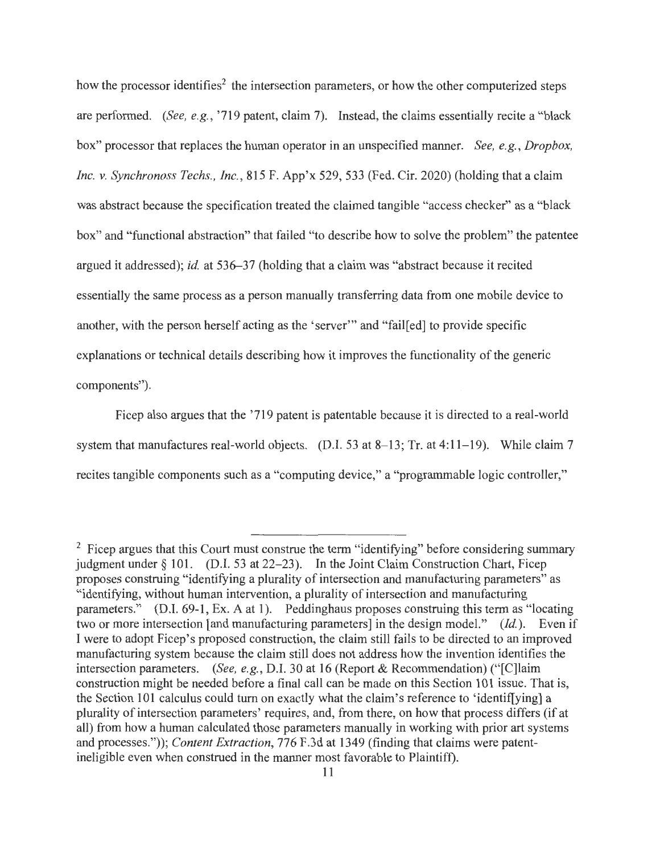how the processor identifies<sup>2</sup> the intersection parameters, or how the other computerized steps are performed. *(See, e.g., '719 patent, claim 7).* Instead, the claims essentially recite a "black" box" processor that replaces the human operator in an unspecified manner. *See, e. g. , Dropbox, Inc. v. Synchronoss Techs., Inc.,* 815 F. App'x 529,533 (Fed. Cir. 2020) (holding that a claim was abstract because the specification treated the claimed tangible "access checker" as a "black box" and "functional abstraction" that failed "to describe how to solve the problem" the patentee argued it addressed); *id.* at 536–37 (holding that a claim was "abstract because it recited essentially the same process as a person manually transferring data from one mobile device to another, with the person herself acting as the 'server'" and "fail[ed] to provide specific explanations or technical details describing how it improves the functionality of the generic components").

Ficep also argues that the '719 patent is patentable because it is directed to a real-world system that manufactures real-world objects. (D.I. 53 at 8–13; Tr. at 4:11–19). While claim 7 recites tangible components such as a "computing device," a "programmable logic controller,"

 $2$  Ficep argues that this Court must construe the term "identifying" before considering summary judgment under  $\S$  101. (D.I. 53 at 22-23). In the Joint Claim Construction Chart, Ficep proposes construing "identifying a plurality of intersection and manufacturing parameters" as "identifying, without human intervention, a plurality of intersection and manufacturing parameters." (D.I. 69-1, Ex. A at 1). Peddinghaus proposes construing this term as "locating two or more intersection [ and manufacturing parameters] in the design model." *(Id.).* Even if I were to adopt Ficep's proposed construction, the claim still fails to be directed to an improved manufacturing system because the claim still does not address how the invention identifies the intersection parameters. *(See, e.g., D.I. 30 at 16 (Report & Recommendation)* ("[C]laim construction might be needed before a final call can be made on this Section 101 issue. That is, the Section 101 calculus could turn on exactly what the claim's reference to 'identif[ying] a plurality of intersection parameters' requires, and, from there, on how that process differs (if at all) from how a human calculated those parameters manually in working with prior art systems and processes.")); *Content Extraction,* 776 F.3d at 1349 (finding that claims were patentineligible even when construed in the manner most favorable to Plaintiff).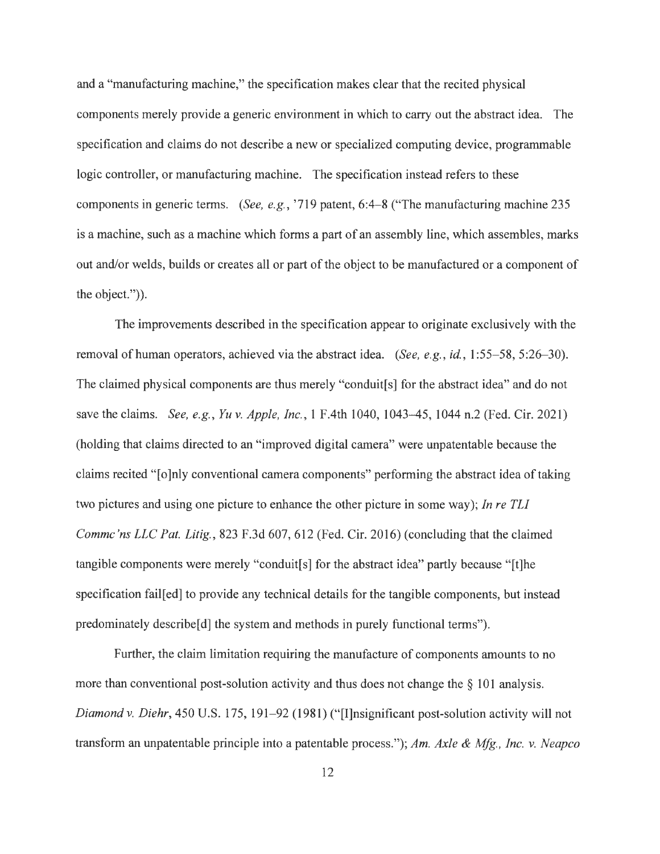and a "manufacturing machine," the specification makes clear that the recited physical components merely provide a generic environment in which to carry out the abstract idea. The specification and claims do not describe a new or specialized computing device, programmable logic controller, or manufacturing machine. The specification instead refers to these components in generic terms. *(See, e.g.,* '719 patent, 6:4-8 ("The manufacturing machine 235 is a machine, such as a machine which forms a part of an assembly line, which assembles, marks out and/or welds, builds or creates all or part of the object to be manufactured or a component of the object.")).

The improvements described in the specification appear to originate exclusively with the removal of human operators, achieved via the abstract idea. *(See, e.g., id., 1:55–58, 5:26–30)*. The claimed physical components are thus merely "conduit[s] for the abstract idea" and do not save the claims. *See, e.g., Yu v. Apple, Inc.,* 1 F.4th 1040, 1043-45, 1044 n.2 (Fed. Cir. 2021) (holding that claims directed to an "improved digital camera" were unpatentable because the claims recited "[o]nly conventional camera components" performing the abstract idea of taking two pictures and using one picture to enhance the other picture in some way); *In re TL! Commc'ns LLC Pat. Litig.*, 823 F.3d 607, 612 (Fed. Cir. 2016) (concluding that the claimed tangible components were merely "conduit[s] for the abstract idea" partly because "[t]he specification fail[ed] to provide any technical details for the tangible components, but instead predominately describe [d] the system and methods in purely functional terms").

Further, the claim limitation requiring the manufacture of components amounts to no more than conventional post-solution activity and thus does not change the  $\S$  101 analysis. *Diamond v. Diehr,* 450 U.S. 175, 191-92 (1981) ("[I]nsignificant post-solution activity will not transform an unpatentable principle into a patentable process."); *Am. Axle & Mfg., Inc. v. Neapco*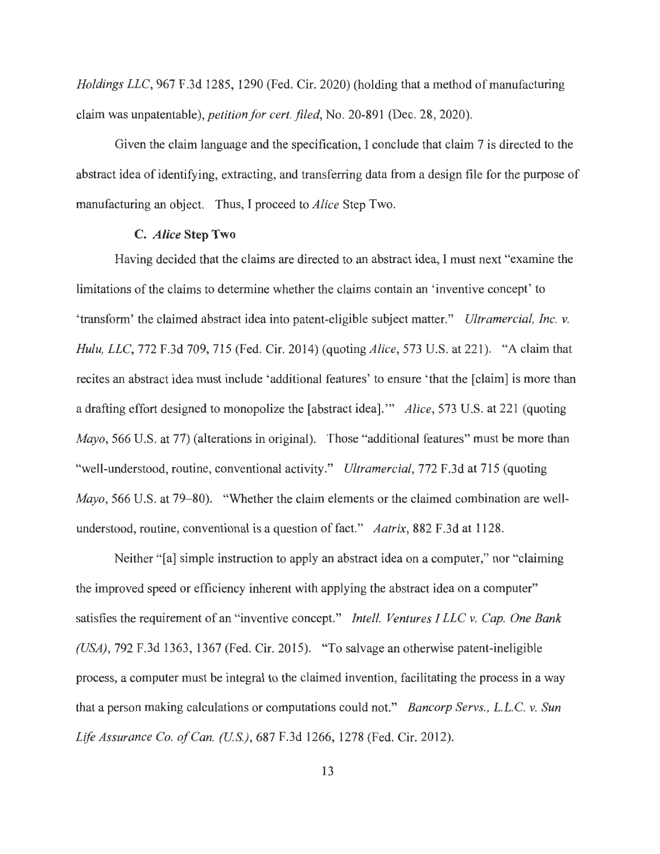*Holdings LLC,* 967 F.3d 1285, 1290 (Fed. Cir. 2020) (holding that a method of manufacturing claim was unpatentable ), *petition for cert. filed,* No. 20-891 (Dec. 28, 2020).

Given the claim language and the specification, I conclude that claim 7 is directed to the abstract idea of identifying, extracting, and transferring data from a design file for the purpose of manufacturing an object. Thus, I proceed to *Alice* Step Two.

#### **C.** *Alice* **Step Two**

Having decided that the claims are directed to an abstract idea, I must next "examine the limitations of the claims to determine whether the claims contain an 'inventive concept' to 'transform' the claimed abstract idea into patent-eligible subject matter." *Ultramercial, Inc. v. Hulu, LLC,* 772 F.3d 709, 715 (Fed. Cir. 2014) (quoting *Alice,* 573 U.S. at 221). "A claim that recites an abstract idea must include 'additional features' to ensure 'that the [claim] is more than a drafting effort designed to monopolize the [abstract idea]."' *Alice,* 573 U.S. at 221 (quoting *Mayo*, 566 U.S. at 77) (alterations in original). Those "additional features" must be more than "well-understood, routine, conventional activity." *Ultramercial,* 772 F.3d at 715 (quoting *Mayo*, 566 U.S. at 79–80). "Whether the claim elements or the claimed combination are wellunderstood, routine, conventional is a question of fact." *Aatrix*, 882 F.3d at 1128.

Neither " [a] simple instruction to apply an abstract idea on a computer," nor "claiming" the improved speed or efficiency inherent with applying the abstract idea on a computer" satisfies the requirement of an "inventive concept." *Intel/. Ventures I LLC* v. *Cap. One Bank (USA) ,* 792 F.3d 1363, 1367 (Fed. Cir. 2015). "To salvage an otherwise patent-ineligible process, a computer must be integral to the claimed invention, facilitating the process in a way that a person making calculations or computations could not." *Bancorp Servs., L.L.C. v. Sun Life Assurance Co. of Can. (U.S.),* 687 F.3d 1266, 1278 (Fed. Cir. 2012).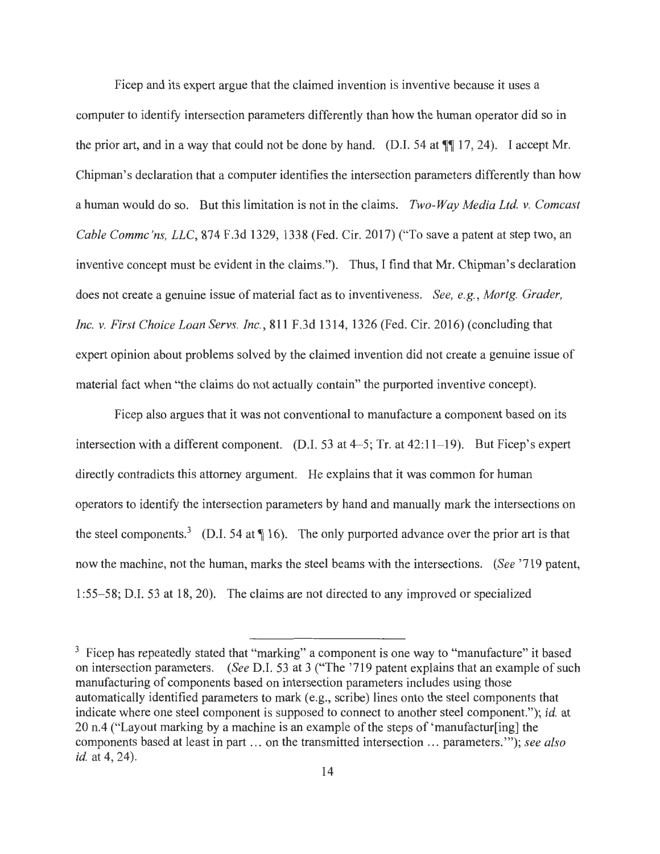Ficep and its expert argue that the claimed invention is inventive because it uses a computer to identify intersection parameters differently than how the human operator did so in the prior art, and in a way that could not be done by hand. (D.I. 54 at  $\P$  17, 24). I accept Mr. Chipman's declaration that a computer identifies the intersection parameters differently than how a human would do so. But this limitation is not in the claims. *Two-Way Media Ltd. v. Comcast Cable Commc 'ns, LLC,* 874 F.3d 1329, 1338 (Fed. Cir. 2017) ("To save a patent at step two, an inventive concept must be evident in the claims."). Thus, I find that Mr. Chipman's declaration does not create a genuine issue of material fact as to inventiveness. *See, e.g., Mortg. Grader, Inc. v. First Choice Loan Servs. Inc.,* 811 F.3d 1314, 1326 (Fed. Cir. 2016) (concluding that expert opinion about problems solved by the claimed invention did not create a genuine issue of material fact when "the claims do not actually contain" the purported inventive concept).

Ficep also argues that it was not conventional to manufacture a component based on its intersection with a different component. (D.I. 53 at 4–5; Tr. at 42:11–19). But Ficep's expert directly contradicts this attorney argument. He explains that it was common for human operators to identify the intersection parameters by hand and manually mark the intersections on the steel components.<sup>3</sup> (D.I. 54 at  $\P$  16). The only purported advance over the prior art is that now the machine, not the human, marks the steel beams with the intersections. *(See* '719 patent, 1 :55-58; D.I. 53 at 18, 20). The claims are not directed to any improved or specialized

<sup>&</sup>lt;sup>3</sup> Ficep has repeatedly stated that "marking" a component is one way to "manufacture" it based on intersection parameters. *(See* D.I. 53 at 3 ("The '719 patent explains that an example of such manufacturing of components based on intersection parameters includes using those automatically identified parameters to mark (e.g., scribe) lines onto the steel components that indicate where one steel component is supposed to connect to another steel component."); *id.* at 20 n.4 ("Layout marking by a machine is an example of the steps of 'manufactur[ing] the components based at least in part ... on the transmitted intersection ... parameters."'); *see also id.* at 4, 24).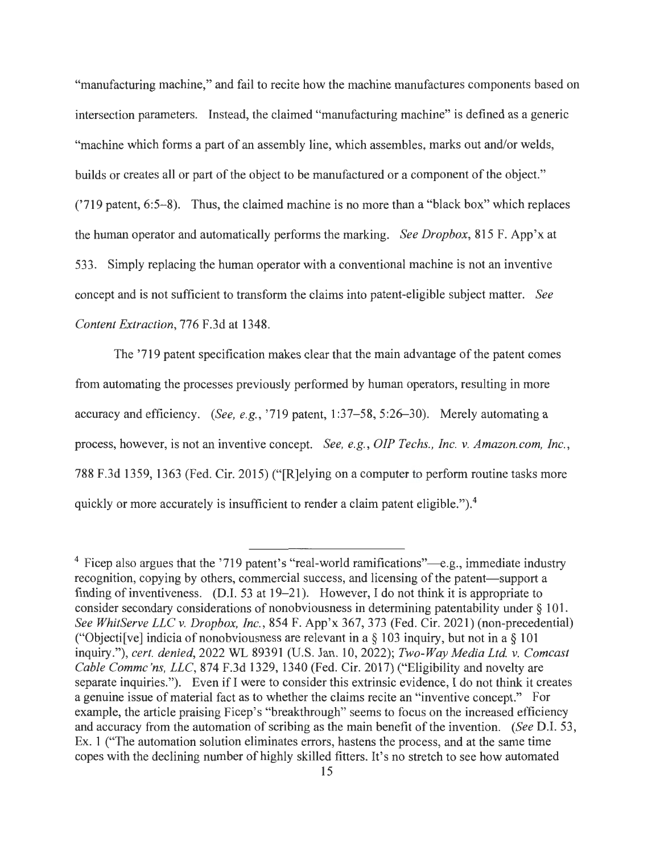"manufacturing machine," and fail to recite how the machine manufactures components based on intersection parameters. Instead, the claimed "manufacturing machine" is defined as a generic "machine which forms a part of an assembly line, which assembles, marks out and/or welds, builds or creates all or part of the object to be manufactured or a component of the object." ('719 patent, 6:5-8). Thus, the claimed machine is no more than a "black box" which replaces the human operator and automatically performs the marking. *See Dropbox,* 815 F. App'x at 533. Simply replacing the human operator with a conventional machine is not an inventive concept and is not sufficient to transform the claims into patent-eligible subject matter. *See Content Extraction,* 776 F.3d at 1348.

The '719 patent specification makes clear that the main advantage of the patent comes from automating the processes previously performed by human operators, resulting in more accuracy and efficiency. *(See, e.g., '719 patent, 1:37–58, 5:26–30)*. Merely automating a process, however, is not an inventive concept. *See, e.g., OIP Techs., Inc. v. Amazon.com, Inc.,*  788 F.3d 1359, 1363 (Fed. Cir. 2015) ("[R]elying on a computer to perform routine tasks more quickly or more accurately is insufficient to render a claim patent eligible.").<sup>4</sup>

 $4$  Ficep also argues that the '719 patent's "real-world ramifications"—e.g., immediate industry recognition, copying by others, commercial success, and licensing of the patent—support a finding of inventiveness. (D.I. 53 at 19-21). However, I do not think it is appropriate to consider secondary considerations of nonobviousness in determining patentability under § 101. *See WhitServe LLC v. Dropbox, Inc.,* 854 F. App'x 367,373 (Fed. Cir. 2021) (non-precedential) ("Objectifive] indicia of nonobviousness are relevant in a  $\S$  103 inquiry, but not in a  $\S$  101 inquiry."), *cert. denied,* 2022 WL 89391 (U.S. Jan. 10, 2022); *Two-Way Media Ltd v. Comcast Cable Commc 'ns, LLC,* 874 F.3d 1329, 1340 (Fed. Cir. 2017) ("Eligibility and novelty are separate inquiries."). Even if I were to consider this extrinsic evidence, I do not think it creates a genuine issue of material fact as to whether the claims recite an "inventive concept." For example, the article praising Ficep's "breakthrough" seems to focus on the increased efficiency and accuracy from the automation of scribing as the main benefit of the invention. *(See* D.I. 53, Ex. 1 ("The automation solution eliminates errors, hastens the process, and at the same time copes with the declining number of highly skilled fitters. It's no stretch to see how automated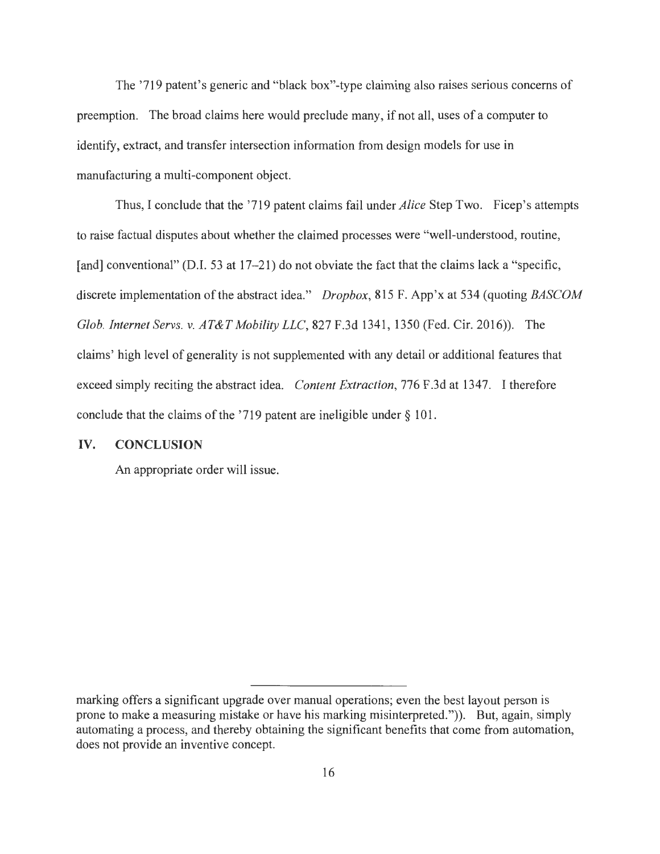The '719 patent's generic and "black box"-type claiming also raises serious concerns of preemption. The broad claims here would preclude many, if not all, uses of a computer to identify, extract, and transfer intersection information from design models for use in manufacturing a multi-component object.

Thus, I conclude that the '719 patent claims fail under *Alice* Step Two. Ficep's attempts to raise factual disputes about whether the claimed processes were "well-understood, routine, [and] conventional" (D.I. 53 at 17–21) do not obviate the fact that the claims lack a "specific, discrete implementation of the abstract idea." *Dropbox,* 815 F. App'x at 534 (quoting *BASCOM Glob. Internet Servs. v. AT&T Mobility LLC,* 827 F.3d 1341, 1350 (Fed. Cir. 2016)). The claims' high level of generality is not supplemented with any detail or additional features that exceed simply reciting the abstract idea. *Content Extraction,* 776 F.3d at 1347. I therefore conclude that the claims of the '719 patent are ineligible under§ 101.

## **IV. CONCLUSION**

An appropriate order will issue.

marking offers a significant upgrade over manual operations; even the best layout person is prone to make a measuring mistake or have his marking misinterpreted.")). But, again, simply automating a process, and thereby obtaining the significant benefits that come from automation, does not provide an inventive concept.